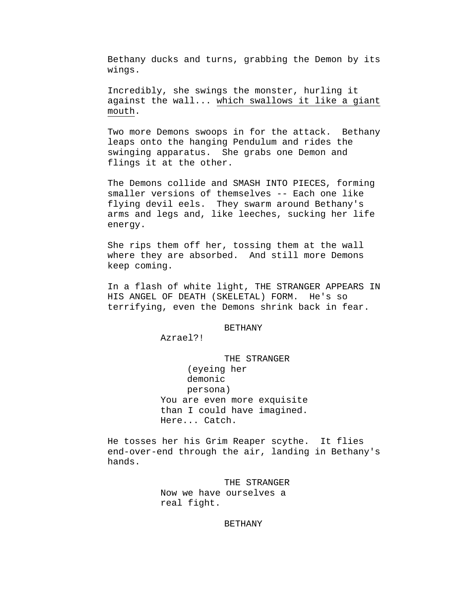Bethany ducks and turns, grabbing the Demon by its wings.

Incredibly, she swings the monster, hurling it against the wall... which swallows it like a giant mouth.

Two more Demons swoops in for the attack. Bethany leaps onto the hanging Pendulum and rides the swinging apparatus. She grabs one Demon and flings it at the other.

The Demons collide and SMASH INTO PIECES, forming smaller versions of themselves -- Each one like flying devil eels. They swarm around Bethany's arms and legs and, like leeches, sucking her life energy.

She rips them off her, tossing them at the wall where they are absorbed. And still more Demons keep coming.

In a flash of white light, THE STRANGER APPEARS IN HIS ANGEL OF DEATH (SKELETAL) FORM. He's so terrifying, even the Demons shrink back in fear.

## BETHANY

Azrael?!

THE STRANGER (eyeing her demonic persona) You are even more exquisite than I could have imagined. Here... Catch.

He tosses her his Grim Reaper scythe. It flies end-over-end through the air, landing in Bethany's hands.

> THE STRANGER Now we have ourselves a real fight.

## BETHANY